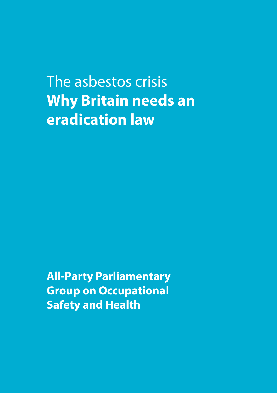The asbestos crisis **Why Britain needs an eradication law**

**All-Party Parliamentary Group on Occupational Safety and Health**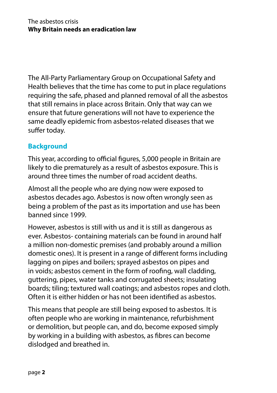The All-Party Parliamentary Group on Occupational Safety and Health believes that the time has come to put in place regulations requiring the safe, phased and planned removal of all the asbestos that still remains in place across Britain. Only that way can we ensure that future generations will not have to experience the same deadly epidemic from asbestos-related diseases that we suffer today.

#### **Background**

This year, according to official figures, 5,000 people in Britain are likely to die prematurely as a result of asbestos exposure. This is around three times the number of road accident deaths.

Almost all the people who are dying now were exposed to asbestos decades ago. Asbestos is now often wrongly seen as being a problem of the past as its importation and use has been banned since 1999.

However, asbestos is still with us and it is still as dangerous as ever. Asbestos- containing materials can be found in around half a million non-domestic premises (and probably around a million domestic ones). It is present in a range of different forms including lagging on pipes and boilers; sprayed asbestos on pipes and in voids; asbestos cement in the form of roofing, wall cladding, guttering, pipes, water tanks and corrugated sheets; insulating boards; tiling; textured wall coatings; and asbestos ropes and cloth. Often it is either hidden or has not been identified as asbestos.

This means that people are still being exposed to asbestos. It is often people who are working in maintenance, refurbishment or demolition, but people can, and do, become exposed simply by working in a building with asbestos, as fibres can become dislodged and breathed in.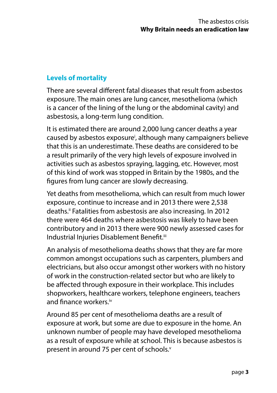# **Levels of mortality**

There are several different fatal diseases that result from asbestos exposure. The main ones are lung cancer, mesothelioma (which is a cancer of the lining of the lung or the abdominal cavity) and asbestosis, a long-term lung condition.

It is estimated there are around 2,000 lung cancer deaths a year caused by asbestos exposure<sup>i</sup>, although many campaigners believe that this is an underestimate. These deaths are considered to be a result primarily of the very high levels of exposure involved in activities such as asbestos spraying, lagging, etc. However, most of this kind of work was stopped in Britain by the 1980s, and the figures from lung cancer are slowly decreasing.

Yet deaths from mesothelioma, which can result from much lower exposure, continue to increase and in 2013 there were 2,538 deaths.ii Fatalities from asbestosis are also increasing. In 2012 there were 464 deaths where asbestosis was likely to have been contributory and in 2013 there were 900 newly assessed cases for Industrial Injuries Disablement Benefit.iii

An analysis of mesothelioma deaths shows that they are far more common amongst occupations such as carpenters, plumbers and electricians, but also occur amongst other workers with no history of work in the construction-related sector but who are likely to be affected through exposure in their workplace. This includes shopworkers, healthcare workers, telephone engineers, teachers and finance workers.iv

Around 85 per cent of mesothelioma deaths are a result of exposure at work, but some are due to exposure in the home. An unknown number of people may have developed mesothelioma as a result of exposure while at school. This is because asbestos is present in around 75 per cent of schools.<sup>v</sup>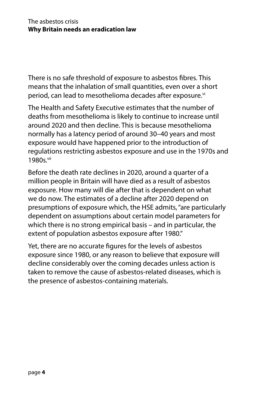There is no safe threshold of exposure to asbestos fibres. This means that the inhalation of small quantities, even over a short period, can lead to mesothelioma decades after exposure.<sup>vi</sup>

The Health and Safety Executive estimates that the number of deaths from mesothelioma is likely to continue to increase until around 2020 and then decline. This is because mesothelioma normally has a latency period of around 30–40 years and most exposure would have happened prior to the introduction of regulations restricting asbestos exposure and use in the 1970s and 1980s vii

Before the death rate declines in 2020, around a quarter of a million people in Britain will have died as a result of asbestos exposure. How many will die after that is dependent on what we do now. The estimates of a decline after 2020 depend on presumptions of exposure which, the HSE admits, "are particularly dependent on assumptions about certain model parameters for which there is no strong empirical basis – and in particular, the extent of population asbestos exposure after 1980."

Yet, there are no accurate figures for the levels of asbestos exposure since 1980, or any reason to believe that exposure will decline considerably over the coming decades unless action is taken to remove the cause of asbestos-related diseases, which is the presence of asbestos-containing materials.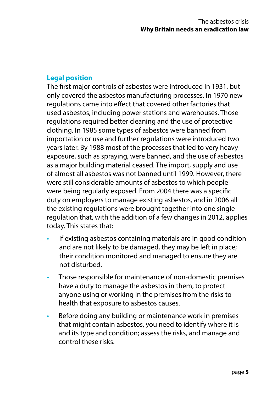# **Legal position**

The first major controls of asbestos were introduced in 1931, but only covered the asbestos manufacturing processes. In 1970 new regulations came into effect that covered other factories that used asbestos, including power stations and warehouses. Those regulations required better cleaning and the use of protective clothing. In 1985 some types of asbestos were banned from importation or use and further regulations were introduced two years later. By 1988 most of the processes that led to very heavy exposure, such as spraying, were banned, and the use of asbestos as a major building material ceased. The import, supply and use of almost all asbestos was not banned until 1999. However, there were still considerable amounts of asbestos to which people were being regularly exposed. From 2004 there was a specific duty on employers to manage existing asbestos, and in 2006 all the existing regulations were brought together into one single regulation that, with the addition of a few changes in 2012, applies today. This states that:

- If existing asbestos containing materials are in good condition and are not likely to be damaged, they may be left in place; their condition monitored and managed to ensure they are not disturbed.
- Those responsible for maintenance of non-domestic premises have a duty to manage the asbestos in them, to protect anyone using or working in the premises from the risks to health that exposure to asbestos causes.
- Before doing any building or maintenance work in premises that might contain asbestos, you need to identify where it is and its type and condition; assess the risks, and manage and control these risks.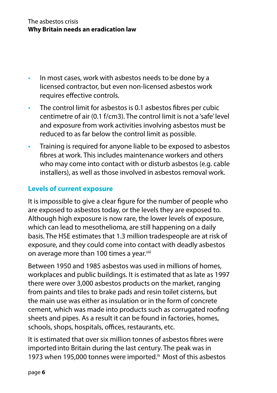- In most cases, work with asbestos needs to be done by a licensed contractor, but even non-licensed asbestos work requires effective controls.
- The control limit for asbestos is 0.1 asbestos fibres per cubic centimetre of air (0.1 f/cm3). The control limit is not a 'safe' level and exposure from work activities involving asbestos must be reduced to as far below the control limit as possible.
- Training is required for anyone liable to be exposed to asbestos fibres at work. This includes maintenance workers and others who may come into contact with or disturb asbestos (e.g. cable installers), as well as those involved in asbestos removal work.

#### **Levels of current exposure**

It is impossible to give a clear figure for the number of people who are exposed to asbestos today, or the levels they are exposed to. Although high exposure is now rare, the lower levels of exposure, which can lead to mesothelioma, are still happening on a daily basis. The HSE estimates that 1.3 million tradespeople are at risk of exposure, and they could come into contact with deadly asbestos on average more than 100 times a year.<sup>viii</sup>

Between 1950 and 1985 asbestos was used in millions of homes, workplaces and public buildings. It is estimated that as late as 1997 there were over 3,000 asbestos products on the market, ranging from paints and tiles to brake pads and resin toilet cisterns, but the main use was either as insulation or in the form of concrete cement, which was made into products such as corrugated roofing sheets and pipes. As a result it can be found in factories, homes, schools, shops, hospitals, offices, restaurants, etc.

It is estimated that over six million tonnes of asbestos fibres were importedinto Britain during the last century. The peak was in 1973 when 195,000 tonnes were imported.<sup>ix</sup> Most of this asbestos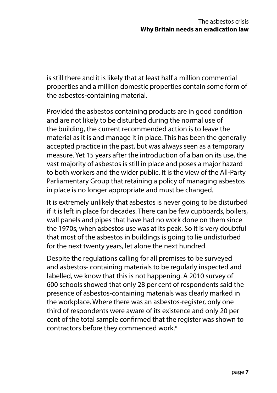is still there and it is likely that at least half a million commercial properties and a million domestic properties contain some form of the asbestos-containing material.

Provided the asbestos containing products are in good condition and are not likely to be disturbed during the normal use of the building, the current recommended action is to leave the material as it is and manage it in place. This has been the generally accepted practice in the past, but was always seen as a temporary measure. Yet 15 years after the introduction of a ban on its use, the vast majority of asbestos is still in place and poses a major hazard to both workers and the wider public. It is the view of the All-Party Parliamentary Group that retaining a policy of managing asbestos in place is no longer appropriate and must be changed.

It is extremely unlikely that asbestos is never going to be disturbed if it is left in place for decades. There can be few cupboards, boilers, wall panels and pipes that have had no work done on them since the 1970s, when asbestos use was at its peak. So it is very doubtful that most of the asbestos in buildings is going to lie undisturbed for the next twenty years, let alone the next hundred.

Despite the regulations calling for all premises to be surveyed and asbestos- containing materials to be regularly inspected and labelled, we know that this is not happening. A 2010 survey of 600 schools showed that only 28 per cent of respondents said the presence of asbestos-containing materials was clearly marked in the workplace. Where there was an asbestos-register, only one third of respondents were aware of its existence and only 20 per cent of the total sample confirmed that the register was shown to contractors before they commenced work.<sup>x</sup>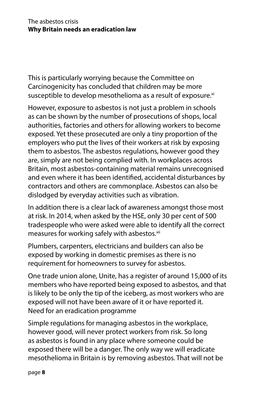This is particularly worrying because the Committee on Carcinogenicity has concluded that children may be more susceptible to develop mesothelioma as a result of exposure.<sup>xi</sup>

However, exposure to asbestos is not just a problem in schools as can be shown by the number of prosecutions of shops, local authorities, factories and others for allowing workers to become exposed. Yet these prosecuted are only a tiny proportion of the employers who put the lives of their workers at risk by exposing them to asbestos. The asbestos regulations, however good they are, simply are not being complied with. In workplaces across Britain, most asbestos-containing material remains unrecognised and even where it has been identified, accidental disturbances by contractors and others are commonplace. Asbestos can also be dislodged by everyday activities such as vibration.

In addition there is a clear lack of awareness amongst those most at risk. In 2014, when asked by the HSE, only 30 per cent of 500 tradespeople who were asked were able to identify all the correct measures for working safely with asbestos.<sup>xii</sup>

Plumbers, carpenters, electricians and builders can also be exposed by working in domestic premises as there is no requirement for homeowners to survey for asbestos.

One trade union alone, Unite, has a register of around 15,000 of its members who have reported being exposed to asbestos, and that is likely to be only the tip of the iceberg, as most workers who are exposed will not have been aware of it or have reported it. Need for an eradication programme

Simple regulations for managing asbestos in the workplace, however good, will never protect workers from risk. So long as asbestos is found in any place where someone could be exposed there will be a danger. The only way we will eradicate mesothelioma in Britain is by removing asbestos. That will not be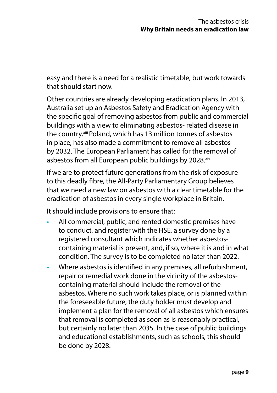easy and there is a need for a realistic timetable, but work towards that should start now.

Other countries are already developing eradication plans. In 2013, Australia set up an Asbestos Safety and Eradication Agency with the specific goal of removing asbestos from public and commercial buildings with a view to eliminating asbestos- related disease in the country.xiii Poland, which has 13 million tonnes of asbestos in place, has also made a commitment to remove all asbestos by 2032. The European Parliament has called for the removal of asbestos from all European public buildings by 2028.<sup>xiv</sup>

If we are to protect future generations from the risk of exposure to this deadly fibre, the All-Party Parliamentary Group believes that we need a new law on asbestos with a clear timetable for the eradication of asbestos in every single workplace in Britain.

It should include provisions to ensure that:

- All commercial, public, and rented domestic premises have to conduct, and register with the HSE, a survey done by a registered consultant which indicates whether asbestoscontaining material is present, and, if so, where it is and in what condition. The survey is to be completed no later than 2022.
- Where asbestos is identified in any premises, all refurbishment, repair or remedial work done in the vicinity of the asbestoscontaining material should include the removal of the asbestos. Where no such work takes place, or is planned within the foreseeable future, the duty holder must develop and implement a plan for the removal of all asbestos which ensures that removal is completed as soon as is reasonably practical, but certainly no later than 2035. In the case of public buildings and educational establishments, such as schools, this should be done by 2028.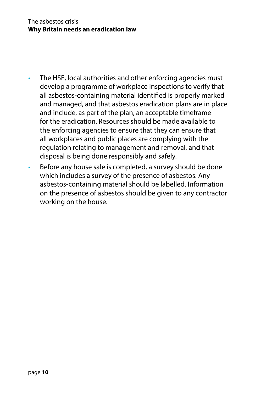- The HSE, local authorities and other enforcing agencies must develop a programme of workplace inspections to verify that all asbestos-containing material identified is properly marked and managed, and that asbestos eradication plans are in place and include, as part of the plan, an acceptable timeframe for the eradication. Resources should be made available to the enforcing agencies to ensure that they can ensure that all workplaces and public places are complying with the regulation relating to management and removal, and that disposal is being done responsibly and safely.
- Before any house sale is completed, a survey should be done which includes a survey of the presence of asbestos. Any asbestos-containing material should be labelled. Information on the presence of asbestos should be given to any contractor working on the house.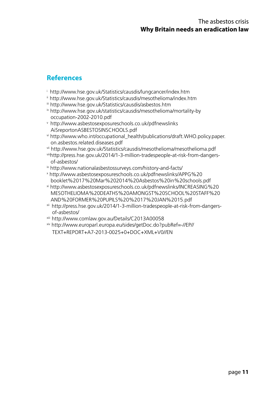### **References**

- i http://www.hse.gov.uk/Statistics/causdis/lungcancer/index.htm
- ii http://www.hse.gov.uk/Statistics/causdis/mesothelioma/index.htm
- iii http://www.hse.gov.uk/Statistics/causdis/asbestos.htm
- iv http://www.hse.gov.uk/statistics/causdis/mesothelioma/mortality-by occupation-2002-2010.pdf
- v http://www.asbestosexposureschools.co.uk/pdfnewslinks AiSreportonASBESTOSINSCHOOLS.pdf
- vi http://www.who.int/occupational\_health/publications/draft.WHO.policy.paper. on.asbestos.related.diseases.pdf
- vii http://www.hse.gov.uk/Statistics/causdis/mesothelioma/mesothelioma.pdf
- viiihttp://press.hse.gov.uk/2014/1-3-million-tradespeople-at-risk-from-dangersof-asbestos/
- ix http://www.nationalasbestossurveys.com/history-and-facts/
- x http://www.asbestosexposureschools.co.uk/pdfnewslinks/APPG%20 booklet%2017%20Mar%202014%20Asbestos%20in%20schools.pdf
- xi http://www.asbestosexposureschools.co.uk/pdfnewslinks/INCREASING%20 MESOTHELIOMA%20DEATHS%20AMONGST%20SCHOOL%20STAFF%20 AND%20FORMER%20PUPILS%20%2017%20JAN%2015.pdf
- xii http://press.hse.gov.uk/2014/1-3-million-tradespeople-at-risk-from-dangers of-asbestos/
- xiii http://www.comlaw.gov.au/Details/C2013A00058
- xiv http://www.europarl.europa.eu/sides/getDoc.do?pubRef=-//EP// TEXT+REPORT+A7-2013-0025+0+DOC+XML+V0//EN